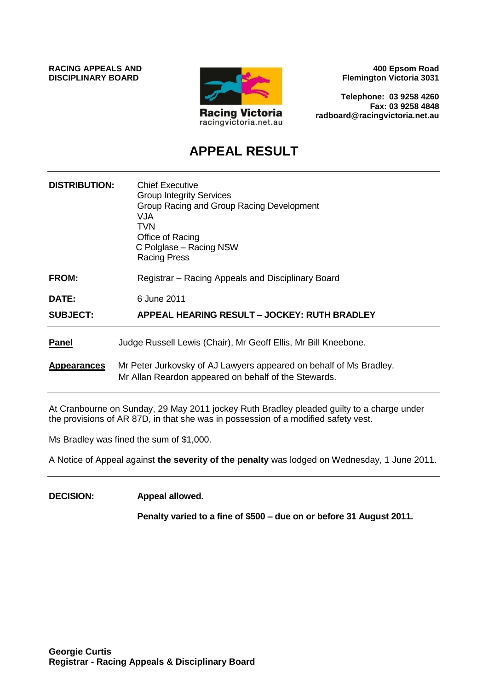

**400 Epsom Road Flemington Victoria 3031**

**Telephone: 03 9258 4260 Fax: 03 9258 4848 radboard@racingvictoria.net.au**

# **APPEAL RESULT**

| <b>DISTRIBUTION:</b> | <b>Chief Executive</b><br><b>Group Integrity Services</b><br>Group Racing and Group Racing Development<br><b>VJA</b><br><b>TVN</b><br>Office of Racing<br>C Polglase - Racing NSW<br><b>Racing Press</b> |
|----------------------|----------------------------------------------------------------------------------------------------------------------------------------------------------------------------------------------------------|
| <b>FROM:</b>         | Registrar – Racing Appeals and Disciplinary Board                                                                                                                                                        |
| DATE:                | 6 June 2011                                                                                                                                                                                              |
| <b>SUBJECT:</b>      | APPEAL HEARING RESULT - JOCKEY: RUTH BRADLEY                                                                                                                                                             |
| <b>Panel</b>         | Judge Russell Lewis (Chair), Mr Geoff Ellis, Mr Bill Kneebone.                                                                                                                                           |
| <b>Appearances</b>   | Mr Peter Jurkovsky of AJ Lawyers appeared on behalf of Ms Bradley.<br>Mr Allan Reardon appeared on behalf of the Stewards.                                                                               |

At Cranbourne on Sunday, 29 May 2011 jockey Ruth Bradley pleaded guilty to a charge under the provisions of AR 87D, in that she was in possession of a modified safety vest.

Ms Bradley was fined the sum of \$1,000.

A Notice of Appeal against **the severity of the penalty** was lodged on Wednesday, 1 June 2011.

**DECISION: Appeal allowed.**

**Penalty varied to a fine of \$500 – due on or before 31 August 2011.**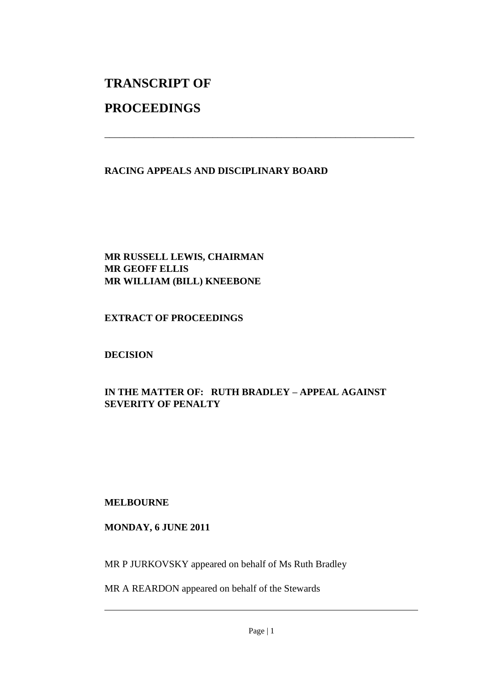# **TRANSCRIPT OF**

# **PROCEEDINGS**

#### **RACING APPEALS AND DISCIPLINARY BOARD**

\_\_\_\_\_\_\_\_\_\_\_\_\_\_\_\_\_\_\_\_\_\_\_\_\_\_\_\_\_\_\_\_\_\_\_\_\_\_\_\_\_\_\_\_\_\_\_\_\_\_\_\_\_\_\_\_\_\_\_\_\_\_\_

#### **MR RUSSELL LEWIS, CHAIRMAN MR GEOFF ELLIS MR WILLIAM (BILL) KNEEBONE**

#### **EXTRACT OF PROCEEDINGS**

### **DECISION**

## **IN THE MATTER OF: RUTH BRADLEY – APPEAL AGAINST SEVERITY OF PENALTY**

#### **MELBOURNE**

#### **MONDAY, 6 JUNE 2011**

MR P JURKOVSKY appeared on behalf of Ms Ruth Bradley

MR A REARDON appeared on behalf of the Stewards